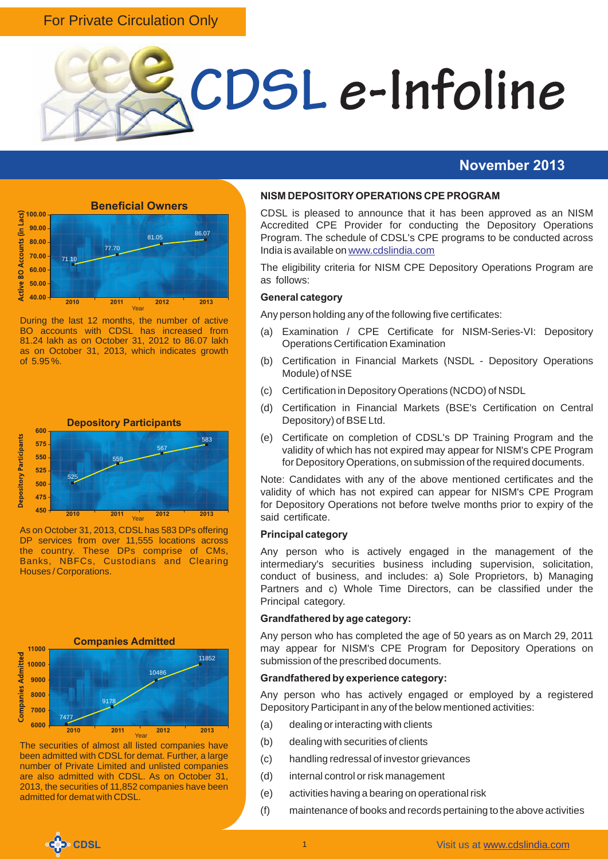### For Private Circulation Only



#### **November 2013**



During the last 12 months, the number of active BO accounts with CDSL has increased from 81.24 lakh as on October 31, 2012 to 86.07 lakh as on October 31, 2013, which indicates growth of 5.95 %.



As on October 31, 2013, CDSL has 583 DPs offering DP services from over 11,555 locations across the country. These DPs comprise of CMs, Banks, NBFCs, Custodians and Clearing Houses / Corporations.



The securities of almost all listed companies have been admitted with CDSL for demat. Further, a large number of Private Limited and unlisted companies are also admitted with CDSL. As on October 31, 2013, the securities of 11,852 companies have been admitted for demat with CDSL.

#### **NISM DEPOSITORY OPERATIONS CPE PROGRAM**

CDSL is pleased to announce that it has been approved as an NISM Accredited CPE Provider for conducting the Depository Operations Program. The schedule of CDSL's CPE programs to be conducted across India is available on <www.cdslindia.com>

The eligibility criteria for NISM CPE Depository Operations Program are as follows:

#### **General category**

Any person holding any of the following five certificates:

- (a) Examination / CPE Certificate for NISM-Series-VI: Depository Operations Certification Examination
- (b) Certification in Financial Markets (NSDL Depository Operations Module) of NSE
- (c) Certification in Depository Operations (NCDO) of NSDL
- (d) Certification in Financial Markets (BSE's Certification on Central Depository) of BSE Ltd.
- (e) Certificate on completion of CDSL's DP Training Program and the validity of which has not expired may appear for NISM's CPE Program for Depository Operations, on submission of the required documents.

Note: Candidates with any of the above mentioned certificates and the validity of which has not expired can appear for NISM's CPE Program for Depository Operations not before twelve months prior to expiry of the said certificate.

#### **Principal category**

Any person who is actively engaged in the management of the intermediary's securities business including supervision, solicitation, conduct of business, and includes: a) Sole Proprietors, b) Managing Partners and c) Whole Time Directors, can be classified under the Principal category.

#### **Grandfathered by age category:**

Any person who has completed the age of 50 years as on March 29, 2011 may appear for NISM's CPE Program for Depository Operations on submission of the prescribed documents.

#### **Grandfathered by experience category:**

Any person who has actively engaged or employed by a registered Depository Participant in any of the below mentioned activities:

- (a) dealing or interacting with clients
- (b) dealing with securities of clients
- (c) handling redressal of investor grievances
- (d) internal control or risk management
- (e) activities having a bearing on operational risk
- (f) maintenance of books and records pertaining to the above activities

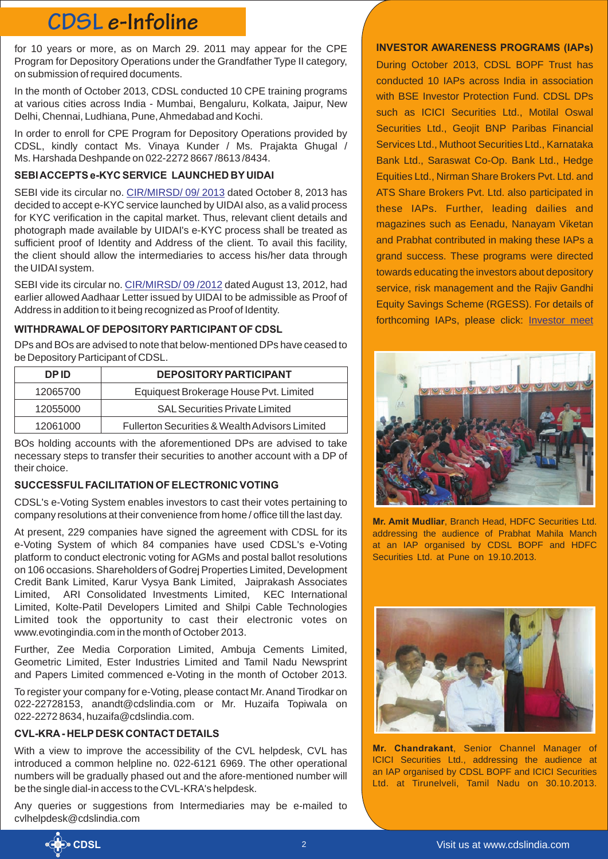## **CDSL e-Infoline**

for 10 years or more, as on March 29. 2011 may appear for the CPE Program for Depository Operations under the Grandfather Type II category, on submission of required documents.

In the month of October 2013, CDSL conducted 10 CPE training programs at various cities across India - Mumbai, Bengaluru, Kolkata, Jaipur, New Delhi, Chennai, Ludhiana, Pune, Ahmedabad and Kochi.

In order to enroll for CPE Program for Depository Operations provided by CDSL, kindly contact Ms. Vinaya Kunder / Ms. Prajakta Ghugal / Ms. Harshada Deshpande on 022-2272 8667 /8613 /8434.

#### **SEBI ACCEPTS e-KYC SERVICE LAUNCHED BY UIDAI**

SEBIvide its circular no. CIR/MIRSD/ 09/ 2013 dated October 8, 2013 has decided to accept e-KYC service launched by UIDAI also, as a valid process for KYC verification in the capital market. Thus, relevant client details and photograph made available by UIDAI's e-KYC process shall be treated as sufficient proof of Identity and Address of the client. To avail this facility, the client should allow the intermediaries to access his/her data through the UIDAI system.

SEBIvide its circular no. CIR/MIRSD/ 09 /2012 dated August 13, 2012, had earlier allowed Aadhaar Letter issued by UIDAI to be admissible as Proof of Address in addition to it being recognized as Proof of Identity.

#### **WITHDRAWAL OF DEPOSITORY PARTICIPANT OF CDSL**

DPs and BOs are advised to note that below-mentioned DPs have ceased to be Depository Participant of CDSL.

| DP ID.   | <b>DEPOSITORY PARTICIPANT</b>                             |
|----------|-----------------------------------------------------------|
| 12065700 | Equiquest Brokerage House Pvt. Limited                    |
| 12055000 | <b>SAL Securities Private Limited</b>                     |
| 12061000 | <b>Fullerton Securities &amp; Wealth Advisors Limited</b> |

BOs holding accounts with the aforementioned DPs are advised to take necessary steps to transfer their securities to another account with a DP of their choice.

#### **SUCCESSFUL FACILITATION OF ELECTRONIC VOTING**

CDSL's e-Voting System enables investors to cast their votes pertaining to company resolutions at their convenience from home / office till the last day.

At present, 229 companies have signed the agreement with CDSL for its e-Voting System of which 84 companies have used CDSL's e-Voting platform to conduct electronic voting for AGMs and postal ballot resolutions on 106 occasions. Shareholders of Godrej Properties Limited, Development Credit Bank Limited, Karur Vysya Bank Limited, Jaiprakash Associates Limited, ARI Consolidated Investments Limited, KEC International Limited, Kolte-Patil Developers Limited and Shilpi Cable Technologies Limited took the opportunity to cast their electronic votes on www.evotingindia.com in the month of October 2013.

Further, Zee Media Corporation Limited, Ambuja Cements Limited, Geometric Limited, Ester Industries Limited and Tamil Nadu Newsprint and Papers Limited commenced e-Voting in the month of October 2013.

To register your company for e-Voting, please contact Mr. Anand Tirodkar on 022-22728153, anandt@cdslindia.com or Mr. Huzaifa Topiwala on 022-2272 8634, huzaifa@cdslindia.com.

#### **CVL-KRA - HELP DESK CONTACT DETAILS**

With a view to improve the accessibility of the CVL helpdesk, CVL has introduced a common helpline no. 022-6121 6969. The other operational numbers will be gradually phased out and the afore-mentioned number will be the single dial-in access to the CVL-KRA's helpdesk.

Any queries or suggestions from Intermediaries may be e-mailed to cvlhelpdesk@cdslindia.com

#### **INVESTOR AWARENESS PROGRAMS (IAPs)**

During October 2013, CDSL BOPF Trust has conducted 10 IAPs across India in association with BSE Investor Protection Fund. CDSL DPs such as ICICI Securities Ltd., Motilal Oswal Securities Ltd., Geojit BNP Paribas Financial Services Ltd., Muthoot Securities Ltd., Karnataka Bank Ltd., Saraswat Co-Op. Bank Ltd., Hedge Equities Ltd., Nirman Share Brokers Pvt. Ltd. and ATS Share Brokers Pvt. Ltd. also participated in these IAPs. Further, leading dailies and magazines such as Eenadu, Nanayam Viketan and Prabhat contributed in making these IAPs a grand success. These programs were directed towards educating the investors about depository service, risk management and the Rajiv Gandhi Equity Savings Scheme (RGESS). For details of forthcoming IAPs, please click: [Investor meet](http://www.cdslindia.com/investors/investor-meet.jsp)



**Mr. Amit Mudliar**, Branch Head, HDFC Securities Ltd. addressing the audience of Prabhat Mahila Manch at an IAP organised by CDSL BOPF and HDFC Securities Ltd. at Pune on 19.10.2013.



**Mr. Chandrakant**, Senior Channel Manager of ICICI Securities Ltd., addressing the audience at an IAP organised by CDSL BOPF and ICICI Securities Ltd. at Tirunelveli, Tamil Nadu on 30.10.2013.